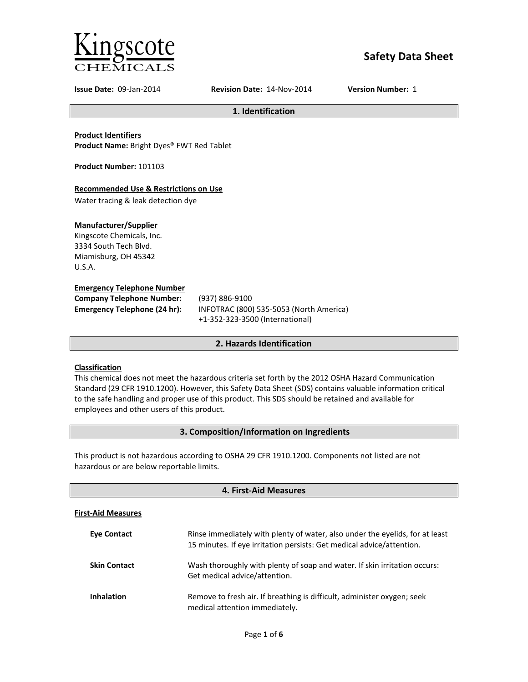

# **Safety Data Sheet**

**Issue Date:** 09-Jan-2014 **Revision Date:** 14-Nov-2014 **Version Number:** 1

**1. Identification**

**Product Identifiers Product Name:** Bright Dyes® FWT Red Tablet

**Product Number:** 101103

# **Recommended Use & Restrictions on Use**

Water tracing & leak detection dye

# **Manufacturer/Supplier**

Kingscote Chemicals, Inc. 3334 South Tech Blvd. Miamisburg, OH 45342 U.S.A.

# **Emergency Telephone Number**

| <b>Company Telephone Number:</b>    | (9) |
|-------------------------------------|-----|
| <b>Emergency Telephone (24 hr):</b> | IN  |
|                                     |     |

**Company Telephone Number:** (937) 886-9100 **Emergency Telephone (24 hr):** INFOTRAC (800) 535-5053 (North America) +1-352-323-3500 (International)

# **2. Hazards Identification**

# **Classification**

This chemical does not meet the hazardous criteria set forth by the 2012 OSHA Hazard Communication Standard (29 CFR 1910.1200). However, this Safety Data Sheet (SDS) contains valuable information critical to the safe handling and proper use of this product. This SDS should be retained and available for employees and other users of this product.

# **3. Composition/Information on Ingredients**

This product is not hazardous according to OSHA 29 CFR 1910.1200. Components not listed are not hazardous or are below reportable limits.

| 4. First-Aid Measures     |                                                                                                                                                       |  |
|---------------------------|-------------------------------------------------------------------------------------------------------------------------------------------------------|--|
| <b>First-Aid Measures</b> |                                                                                                                                                       |  |
| <b>Eve Contact</b>        | Rinse immediately with plenty of water, also under the eyelids, for at least<br>15 minutes. If eye irritation persists: Get medical advice/attention. |  |
| <b>Skin Contact</b>       | Wash thoroughly with plenty of soap and water. If skin irritation occurs:<br>Get medical advice/attention.                                            |  |
| <b>Inhalation</b>         | Remove to fresh air. If breathing is difficult, administer oxygen; seek<br>medical attention immediately.                                             |  |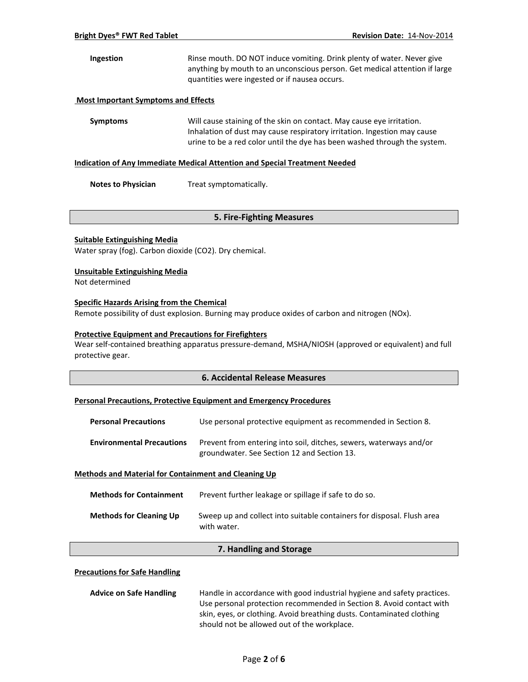# **Ingestion** Rinse mouth. DO NOT induce vomiting. Drink plenty of water. Never give anything by mouth to an unconscious person. Get medical attention if large quantities were ingested or if nausea occurs.

#### **Most Important Symptoms and Effects**

**Symptoms** Will cause staining of the skin on contact. May cause eye irritation. Inhalation of dust may cause respiratory irritation. Ingestion may cause urine to be a red color until the dye has been washed through the system.

#### **Indication of Any Immediate Medical Attention and Special Treatment Needed**

**Notes to Physician** Treat symptomatically.

# **5. Fire-Fighting Measures**

#### **Suitable Extinguishing Media**

Water spray (fog). Carbon dioxide (CO2). Dry chemical.

#### **Unsuitable Extinguishing Media**

Not determined

#### **Specific Hazards Arising from the Chemical**

Remote possibility of dust explosion. Burning may produce oxides of carbon and nitrogen (NOx).

#### **Protective Equipment and Precautions for Firefighters**

Wear self-contained breathing apparatus pressure-demand, MSHA/NIOSH (approved or equivalent) and full protective gear.

#### **6. Accidental Release Measures**

#### **Personal Precautions, Protective Equipment and Emergency Procedures**

| <b>Personal Precautions</b>      | Use personal protective equipment as recommended in Section 8.                                                    |
|----------------------------------|-------------------------------------------------------------------------------------------------------------------|
| <b>Environmental Precautions</b> | Prevent from entering into soil, ditches, sewers, waterways and/or<br>groundwater. See Section 12 and Section 13. |

#### **Methods and Material for Containment and Cleaning Up**

| <b>Methods for Containment</b> | Prevent further leakage or spillage if safe to do so.                                 |
|--------------------------------|---------------------------------------------------------------------------------------|
| <b>Methods for Cleaning Up</b> | Sweep up and collect into suitable containers for disposal. Flush area<br>with water. |

### **7. Handling and Storage**

#### **Precautions for Safe Handling**

| <b>Advice on Safe Handling</b> | Handle in accordance with good industrial hygiene and safety practices. |
|--------------------------------|-------------------------------------------------------------------------|
|                                | Use personal protection recommended in Section 8. Avoid contact with    |
|                                | skin, eyes, or clothing. Avoid breathing dusts. Contaminated clothing   |
|                                | should not be allowed out of the workplace.                             |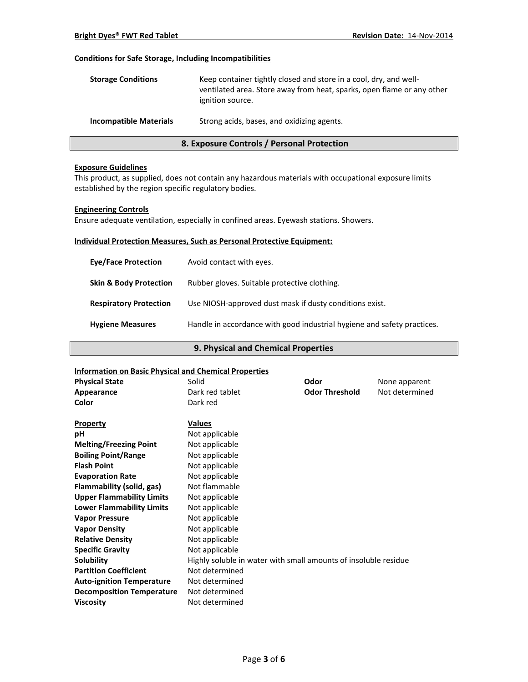### **Conditions for Safe Storage, Including Incompatibilities**

| <b>Storage Conditions</b>     | Keep container tightly closed and store in a cool, dry, and well-<br>ventilated area. Store away from heat, sparks, open flame or any other<br>ignition source. |
|-------------------------------|-----------------------------------------------------------------------------------------------------------------------------------------------------------------|
| <b>Incompatible Materials</b> | Strong acids, bases, and oxidizing agents.                                                                                                                      |

# **8. Exposure Controls / Personal Protection**

#### **Exposure Guidelines**

This product, as supplied, does not contain any hazardous materials with occupational exposure limits established by the region specific regulatory bodies.

#### **Engineering Controls**

Ensure adequate ventilation, especially in confined areas. Eyewash stations. Showers.

### **Individual Protection Measures, Such as Personal Protective Equipment:**

| <b>Eve/Face Protection</b>        | Avoid contact with eyes.                                                |
|-----------------------------------|-------------------------------------------------------------------------|
| <b>Skin &amp; Body Protection</b> | Rubber gloves. Suitable protective clothing.                            |
| <b>Respiratory Protection</b>     | Use NIOSH-approved dust mask if dusty conditions exist.                 |
| <b>Hygiene Measures</b>           | Handle in accordance with good industrial hygiene and safety practices. |

### **9. Physical and Chemical Properties**

#### **Information on Basic Physical and Chemical Properties**

| <u>IIIIOI IIIALIOII OII DASIC FIIYSICAI AIIU CHEIIIICAI FI OPEI LIES</u> |                                                                 |                       |                |
|--------------------------------------------------------------------------|-----------------------------------------------------------------|-----------------------|----------------|
| <b>Physical State</b>                                                    | Solid                                                           | Odor                  | None apparent  |
| Appearance                                                               | Dark red tablet                                                 | <b>Odor Threshold</b> | Not determined |
| Color                                                                    | Dark red                                                        |                       |                |
|                                                                          |                                                                 |                       |                |
| <b>Property</b>                                                          | <b>Values</b>                                                   |                       |                |
| рH                                                                       | Not applicable                                                  |                       |                |
| <b>Melting/Freezing Point</b>                                            | Not applicable                                                  |                       |                |
| <b>Boiling Point/Range</b>                                               | Not applicable                                                  |                       |                |
| <b>Flash Point</b>                                                       | Not applicable                                                  |                       |                |
| <b>Evaporation Rate</b>                                                  | Not applicable                                                  |                       |                |
| Flammability (solid, gas)                                                | Not flammable                                                   |                       |                |
| <b>Upper Flammability Limits</b>                                         | Not applicable                                                  |                       |                |
| <b>Lower Flammability Limits</b>                                         | Not applicable                                                  |                       |                |
| <b>Vapor Pressure</b>                                                    | Not applicable                                                  |                       |                |
| <b>Vapor Density</b>                                                     | Not applicable                                                  |                       |                |
| <b>Relative Density</b>                                                  | Not applicable                                                  |                       |                |
| <b>Specific Gravity</b>                                                  | Not applicable                                                  |                       |                |
| Solubility                                                               | Highly soluble in water with small amounts of insoluble residue |                       |                |
| <b>Partition Coefficient</b>                                             | Not determined                                                  |                       |                |
| <b>Auto-ignition Temperature</b>                                         | Not determined                                                  |                       |                |
| <b>Decomposition Temperature</b>                                         | Not determined                                                  |                       |                |
| <b>Viscosity</b>                                                         | Not determined                                                  |                       |                |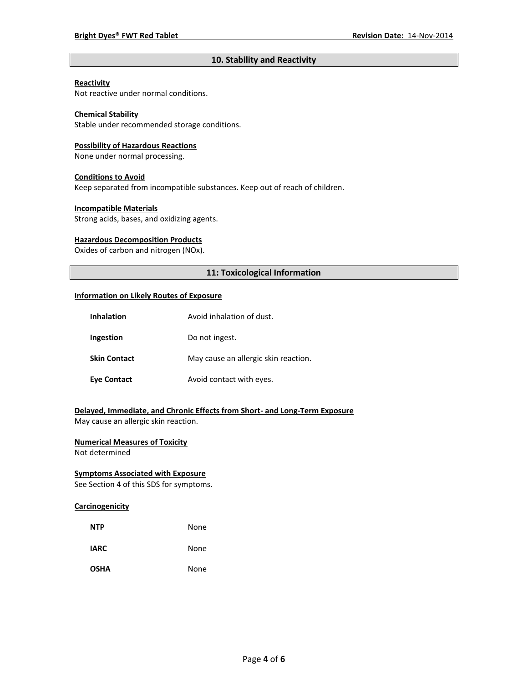# **10. Stability and Reactivity**

#### **Reactivity**

Not reactive under normal conditions.

# **Chemical Stability**

Stable under recommended storage conditions.

#### **Possibility of Hazardous Reactions**

None under normal processing.

#### **Conditions to Avoid**

Keep separated from incompatible substances. Keep out of reach of children.

#### **Incompatible Materials**

Strong acids, bases, and oxidizing agents.

#### **Hazardous Decomposition Products**

Oxides of carbon and nitrogen (NOx).

# **11: Toxicological Information**

#### **Information on Likely Routes of Exposure**

| <b>Inhalation</b>   | Avoid inhalation of dust.            |
|---------------------|--------------------------------------|
| Ingestion           | Do not ingest.                       |
| <b>Skin Contact</b> | May cause an allergic skin reaction. |
| <b>Eye Contact</b>  | Avoid contact with eyes.             |

# **Delayed, Immediate, and Chronic Effects from Short- and Long-Term Exposure**

May cause an allergic skin reaction.

# **Numerical Measures of Toxicity**

Not determined

# **Symptoms Associated with Exposure**

See Section 4 of this SDS for symptoms.

### **Carcinogenicity**

| <b>NTP</b>  | None |
|-------------|------|
| <b>IARC</b> | None |
| <b>OSHA</b> | None |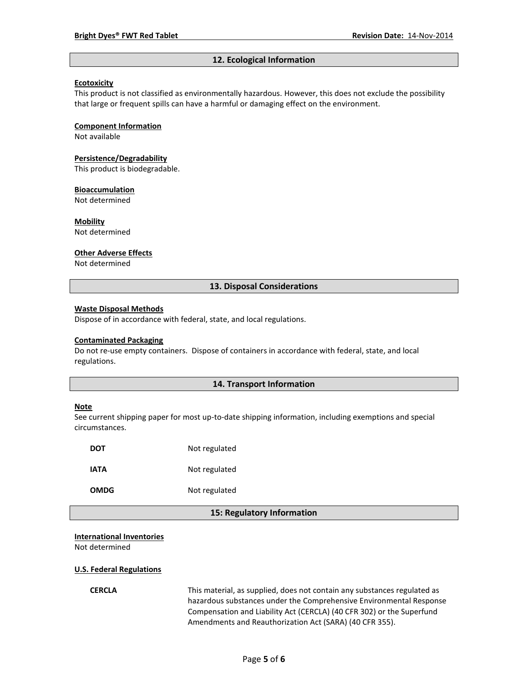#### **12. Ecological Information**

#### **Ecotoxicity**

This product is not classified as environmentally hazardous. However, this does not exclude the possibility that large or frequent spills can have a harmful or damaging effect on the environment.

#### **Component Information**

Not available

#### **Persistence/Degradability**

This product is biodegradable.

#### **Bioaccumulation**

Not determined

#### **Mobility**

Not determined

#### **Other Adverse Effects**

Not determined

### **13. Disposal Considerations**

#### **Waste Disposal Methods**

Dispose of in accordance with federal, state, and local regulations.

#### **Contaminated Packaging**

Do not re-use empty containers.Dispose of containers in accordance with federal, state, and local regulations.

#### **14. Transport Information**

#### **Note**

See current shipping paper for most up-to-date shipping information, including exemptions and special circumstances.

| DOT  | Not regulated |
|------|---------------|
| IATA | Not regulated |
| OMDG | Not regulated |

#### **15: Regulatory Information**

#### **International Inventories**

Not determined

#### **U.S. Federal Regulations**

**CERCLA** This material, as supplied, does not contain any substances regulated as hazardous substances under the Comprehensive Environmental Response Compensation and Liability Act (CERCLA) (40 CFR 302) or the Superfund Amendments and Reauthorization Act (SARA) (40 CFR 355).